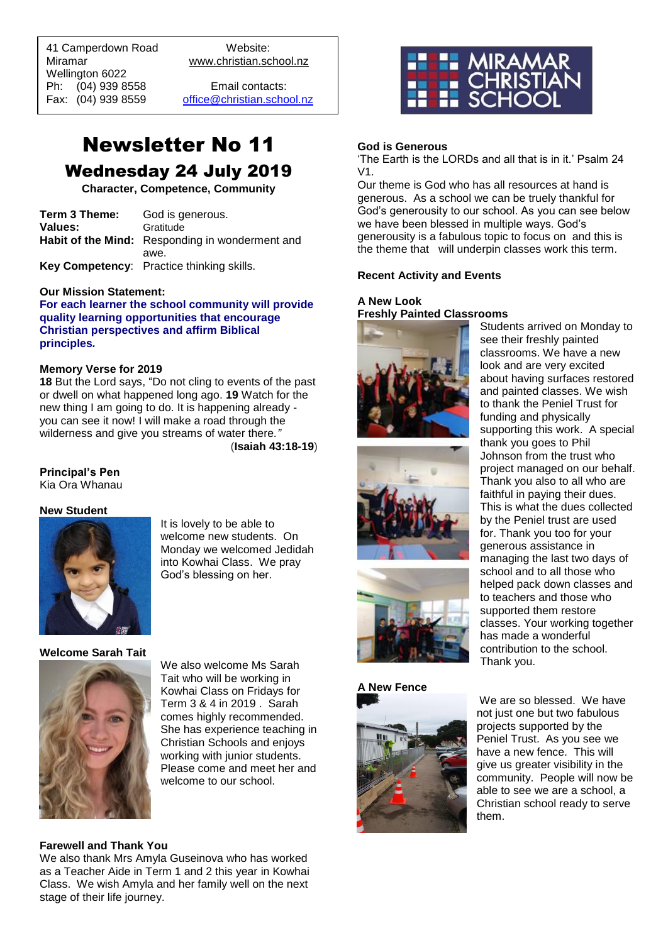41 Camperdown Road Website: Miramar www.christian.school.nz Wellington 6022 Ph: (04) 939 8558 Email contacts:

 $\overline{a}$ 

Fax: (04) 939 8559 [office@christian.school.nz](mailto:office@christian.school.nz)

# Newsletter No 11 Wednesday 24 July 2019

**Character, Competence, Community**

| Term 3 Theme: | God is generous.                                |
|---------------|-------------------------------------------------|
| Values:       | Gratitude                                       |
|               | Habit of the Mind: Responding in wonderment and |
|               | awe.                                            |
|               | Key Competency: Practice thinking skills.       |

#### **Our Mission Statement:**

**For each learner the school community will provide quality learning opportunities that encourage Christian perspectives and affirm Biblical principles***.*

#### **Memory Verse for 2019**

**18** But the Lord says, "Do not cling to events of the past or dwell on what happened long ago. **19** Watch for the new thing I am going to do. It is happening already you can see it now! I will make a road through the wilderness and give you streams of water there*."* (**Isaiah 43:18-19**)

# **Principal's Pen**

Kia Ora Whanau

#### **New Student**



It is lovely to be able to welcome new students. On Monday we welcomed Jedidah into Kowhai Class. We pray God's blessing on her.

#### **Welcome Sarah Tait**



We also welcome Ms Sarah Tait who will be working in Kowhai Class on Fridays for Term 3 & 4 in 2019 . Sarah comes highly recommended. She has experience teaching in Christian Schools and enjoys working with junior students. Please come and meet her and welcome to our school.

# **Farewell and Thank You**

We also thank Mrs Amyla Guseinova who has worked as a Teacher Aide in Term 1 and 2 this year in Kowhai Class. We wish Amyla and her family well on the next stage of their life journey.



# **God is Generous**

'The Earth is the LORDs and all that is in it.' Psalm 24 V1.

Our theme is God who has all resources at hand is generous. As a school we can be truely thankful for God's generousity to our school. As you can see below we have been blessed in multiple ways. God's generousity is a fabulous topic to focus on and this is the theme that will underpin classes work this term.

### **Recent Activity and Events**

#### **A New Look Freshly Painted Classrooms** Students arrived on Monday to









about having surfaces restored and painted classes. We wish to thank the Peniel Trust for funding and physically supporting this work. A special thank you goes to Phil Johnson from the trust who project managed on our behalf. Thank you also to all who are faithful in paying their dues. This is what the dues collected by the Peniel trust are used for. Thank you too for your generous assistance in managing the last two days of school and to all those who helped pack down classes and to teachers and those who supported them restore classes. Your working together has made a wonderful contribution to the school. Thank you.

see their freshly painted classrooms. We have a new look and are very excited

We are so blessed. We have not just one but two fabulous projects supported by the Peniel Trust. As you see we have a new fence. This will give us greater visibility in the community. People will now be able to see we are a school, a Christian school ready to serve them.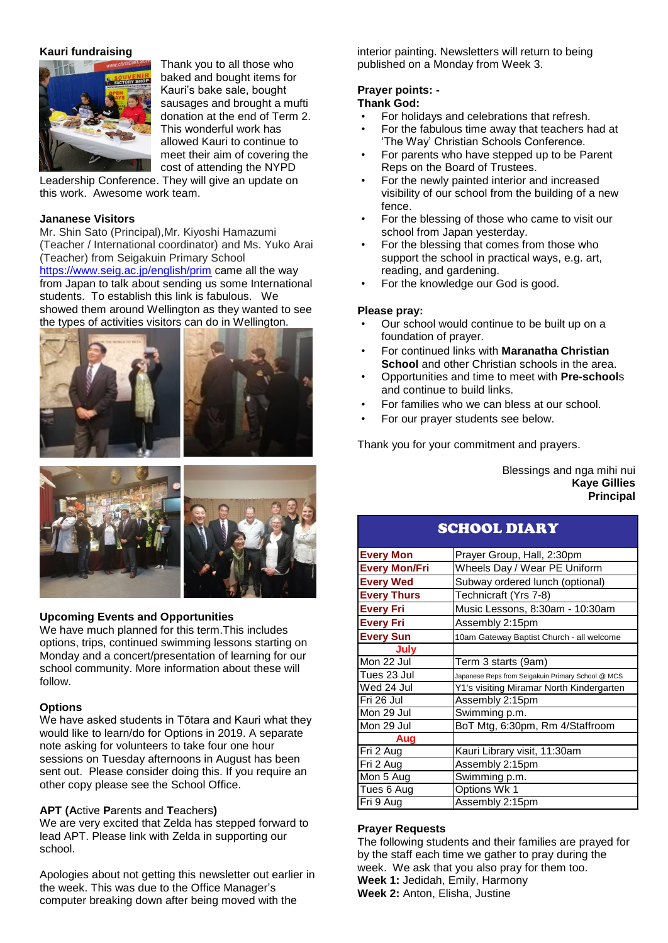### **Kauri fundraising**



Thank you to all those who baked and bought items for Kauri's bake sale, bought sausages and brought a mufti donation at the end of Term 2. This wonderful work has allowed Kauri to continue to meet their aim of covering the cost of attending the NYPD

Leadership Conference. They will give an update on this work. Awesome work team.

# **Jananese Visitors**

Mr. Shin Sato (Principal),Mr. Kiyoshi Hamazumi (Teacher / International coordinator) and Ms. Yuko Arai (Teacher) from Seigakuin Primary School [https://www.seig.ac.jp/english/prim](https://www.seig.ac.jp/english/prim/) came all the way from Japan to talk about sending us some International students. To establish this link is fabulous. We showed them around Wellington as they wanted to see the types of activities visitors can do in Wellington.





# **Upcoming Events and Opportunities**

We have much planned for this term.This includes options, trips, continued swimming lessons starting on Monday and a concert/presentation of learning for our school community. More information about these will follow.

#### **Options**

We have asked students in Tōtara and Kauri what they would like to learn/do for Options in 2019. A separate note asking for volunteers to take four one hour sessions on Tuesday afternoons in August has been sent out. Please consider doing this. If you require an other copy please see the School Office.

#### **APT (A**ctive **P**arents and **T**eachers**)**

We are very excited that Zelda has stepped forward to lead APT. Please link with Zelda in supporting our school.

Apologies about not getting this newsletter out earlier in the week. This was due to the Office Manager's computer breaking down after being moved with the

interior painting. Newsletters will return to being published on a Monday from Week 3.

# **Prayer points: -**

# **Thank God:**

- For holidays and celebrations that refresh.
- For the fabulous time away that teachers had at 'The Way' Christian Schools Conference.
- For parents who have stepped up to be Parent Reps on the Board of Trustees.
- For the newly painted interior and increased visibility of our school from the building of a new fence.
- For the blessing of those who came to visit our school from Japan yesterday.
- For the blessing that comes from those who support the school in practical ways, e.g. art, reading, and gardening.
- For the knowledge our God is good.

#### **Please pray:**

- Our school would continue to be built up on a foundation of prayer.
- For continued links with **Maranatha Christian School** and other Christian schools in the area.
- Opportunities and time to meet with **Pre-school**s and continue to build links.
- For families who we can bless at our school.
- For our prayer students see below.

Thank you for your commitment and prayers.

Blessings and nga mihi nui **Kaye Gillies Principal**

# SCHOOL DIARY

| <b>Every Mon</b>     | Prayer Group, Hall, 2:30pm                        |
|----------------------|---------------------------------------------------|
| <b>Every Mon/Fri</b> | Wheels Day / Wear PE Uniform                      |
| <b>Every Wed</b>     | Subway ordered lunch (optional)                   |
| <b>Every Thurs</b>   | Technicraft (Yrs 7-8)                             |
| <b>Every Fri</b>     | Music Lessons, 8:30am - 10:30am                   |
| <b>Every Fri</b>     | Assembly 2:15pm                                   |
| <b>Every Sun</b>     | 10am Gateway Baptist Church - all welcome         |
| July                 |                                                   |
| Mon 22 Jul           | Term 3 starts (9am)                               |
| Tues 23 Jul          | Japanese Reps from Seigakuin Primary School @ MCS |
| Wed 24 Jul           | Y1's visiting Miramar North Kindergarten          |
| Fri 26 Jul           | Assembly 2:15pm                                   |
| Mon 29 Jul           | Swimming p.m.                                     |
| Mon 29 Jul           | BoT Mtg, 6:30pm, Rm 4/Staffroom                   |
| Aug                  |                                                   |
| Fri 2 Aug            | Kauri Library visit, 11:30am                      |
| Fri 2 Aug            | Assembly 2:15pm                                   |
| Mon 5 Aug            | Swimming p.m.                                     |
| Tues 6 Aug           | Options Wk 1                                      |
| Fri 9 Aug            | Assembly 2:15pm                                   |

#### **Prayer Requests**

The following students and their families are prayed for by the staff each time we gather to pray during the week. We ask that you also pray for them too. **Week 1:** Jedidah, Emily, Harmony **Week 2:** Anton, Elisha, Justine